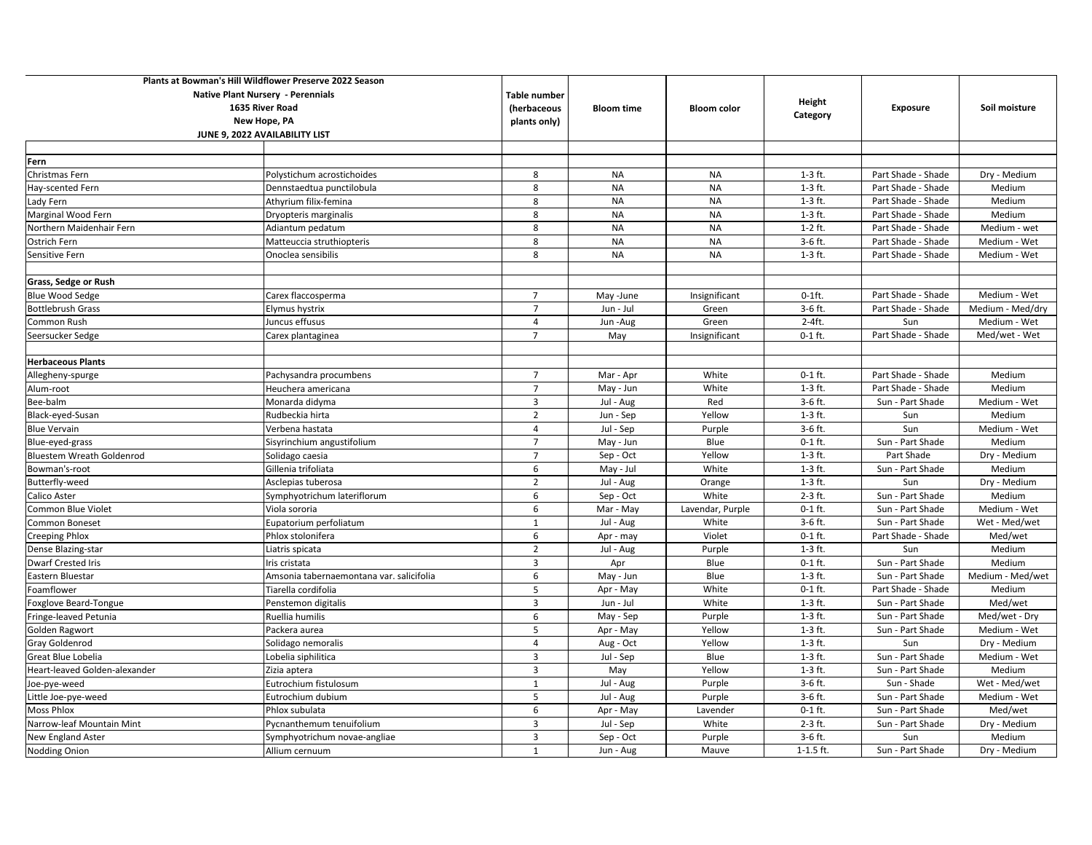| Plants at Bowman's Hill Wildflower Preserve 2022 Season     |                                          |                             |                   |                    |               |                    |                  |
|-------------------------------------------------------------|------------------------------------------|-----------------------------|-------------------|--------------------|---------------|--------------------|------------------|
| <b>Native Plant Nursery - Perennials</b><br>1635 River Road |                                          | Table number<br>(herbaceous | <b>Bloom time</b> |                    | Height        | <b>Exposure</b>    | Soil moisture    |
|                                                             |                                          |                             |                   | <b>Bloom color</b> |               |                    |                  |
| New Hope, PA                                                |                                          | plants only)                |                   |                    | Category      |                    |                  |
|                                                             | JUNE 9, 2022 AVAILABILITY LIST           |                             |                   |                    |               |                    |                  |
|                                                             |                                          |                             |                   |                    |               |                    |                  |
| Fern                                                        |                                          |                             |                   |                    |               |                    |                  |
| Christmas Fern                                              | Polystichum acrostichoides               | 8                           | <b>NA</b>         | <b>NA</b>          | $1-3$ ft.     | Part Shade - Shade | Dry - Medium     |
| Hay-scented Fern                                            | Dennstaedtua punctilobula                | 8                           | <b>NA</b>         | <b>NA</b>          | $1-3$ ft.     | Part Shade - Shade | Medium           |
| Lady Fern                                                   | Athyrium filix-femina                    | 8                           | <b>NA</b>         | <b>NA</b>          | $1-3$ ft.     | Part Shade - Shade | Medium           |
| Marginal Wood Fern                                          | Dryopteris marginalis                    | 8                           | <b>NA</b>         | <b>NA</b>          | $1-3$ ft.     | Part Shade - Shade | Medium           |
| Northern Maidenhair Fern                                    | Adiantum pedatum                         | 8                           | <b>NA</b>         | <b>NA</b>          | $1-2$ ft.     | Part Shade - Shade | Medium - wet     |
| Ostrich Fern                                                | Matteuccia struthiopteris                | 8                           | <b>NA</b>         | <b>NA</b>          | $3-6$ ft.     | Part Shade - Shade | Medium - Wet     |
| Sensitive Fern                                              | Onoclea sensibilis                       | 8                           | <b>NA</b>         | <b>NA</b>          | $1-3$ ft.     | Part Shade - Shade | Medium - Wet     |
|                                                             |                                          |                             |                   |                    |               |                    |                  |
| Grass, Sedge or Rush                                        |                                          |                             |                   |                    |               |                    |                  |
| <b>Blue Wood Sedge</b>                                      | Carex flaccosperma                       | $\overline{7}$              | May -June         | Insignificant      | $0-1$ ft.     | Part Shade - Shade | Medium - Wet     |
| <b>Bottlebrush Grass</b>                                    | Elymus hystrix                           | $\overline{7}$              | Jun - Jul         | Green              | 3-6 ft.       | Part Shade - Shade | Medium - Med/dry |
| Common Rush                                                 | Juncus effusus                           | $\overline{4}$              | Jun-Aug           | Green              | $2-4ft.$      | Sun                | Medium - Wet     |
| Seersucker Sedge                                            | Carex plantaginea                        | $\overline{7}$              | May               | Insignificant      | $0-1$ ft.     | Part Shade - Shade | Med/wet - Wet    |
|                                                             |                                          |                             |                   |                    |               |                    |                  |
| <b>Herbaceous Plants</b>                                    |                                          |                             |                   |                    |               |                    |                  |
| Allegheny-spurge                                            | Pachysandra procumbens                   | $\overline{7}$              | Mar - Apr         | White              | $0-1$ ft.     | Part Shade - Shade | Medium           |
| Alum-root                                                   | Heuchera americana                       | $\overline{7}$              | May - Jun         | White              | $1-3$ ft.     | Part Shade - Shade | Medium           |
| Bee-balm                                                    | Monarda didyma                           | 3                           | Jul - Aug         | Red                | $3-6$ ft.     | Sun - Part Shade   | Medium - Wet     |
| Black-eyed-Susan                                            | Rudbeckia hirta                          | $\overline{2}$              | Jun - Sep         | Yellow             | $1-3$ ft.     | Sun                | Medium           |
| <b>Blue Vervain</b>                                         | Verbena hastata                          | $\overline{4}$              | Jul - Sep         | Purple             | 3-6 ft.       | Sun                | Medium - Wet     |
| Blue-eyed-grass                                             | Sisyrinchium angustifolium               | $\overline{7}$              | May - Jun         | Blue               | $0-1$ ft.     | Sun - Part Shade   | Medium           |
| <b>Bluestem Wreath Goldenrod</b>                            | Solidago caesia                          | $\overline{7}$              | Sep - Oct         | Yellow             | $1-3$ ft.     | Part Shade         | Dry - Medium     |
| Bowman's-root                                               | Gillenia trifoliata                      | 6                           | May - Jul         | White              | $1-3$ ft.     | Sun - Part Shade   | Medium           |
| Butterfly-weed                                              | Asclepias tuberosa                       | $\overline{2}$              | Jul - Aug         | Orange             | $1-3$ ft.     | Sun                | Dry - Medium     |
| Calico Aster                                                | Symphyotrichum lateriflorum              | 6                           | Sep - Oct         | White              | $2-3$ ft.     | Sun - Part Shade   | Medium           |
| Common Blue Violet                                          | Viola sororia                            | 6                           | Mar - May         | Lavendar, Purple   | $0-1$ ft.     | Sun - Part Shade   | Medium - Wet     |
| Common Boneset                                              | Eupatorium perfoliatum                   | $\mathbf{1}$                | Jul - Aug         | White              | 3-6 ft.       | Sun - Part Shade   | Wet - Med/wet    |
| Creeping Phlox                                              | Phlox stolonifera                        | 6                           | Apr - may         | Violet             | $0-1$ ft.     | Part Shade - Shade | Med/wet          |
| Dense Blazing-star                                          | Liatris spicata                          | $\overline{2}$              | Jul - Aug         | Purple             | $1-3$ ft.     | Sun                | Medium           |
| Dwarf Crested Iris                                          | Iris cristata                            | $\overline{3}$              | Apr               | Blue               | $0-1$ ft.     | Sun - Part Shade   | Medium           |
| Eastern Bluestar                                            | Amsonia tabernaemontana var. salicifolia | 6                           | May - Jun         | Blue               | $1-3$ ft.     | Sun - Part Shade   | Medium - Med/wet |
| Foamflower                                                  | Tiarella cordifolia                      | 5                           | Apr - May         | White              | $0-1$ ft.     | Part Shade - Shade | Medium           |
| Foxglove Beard-Tongue                                       | Penstemon digitalis                      | $\overline{3}$              | Jun - Jul         | White              | $1-3$ ft.     | Sun - Part Shade   | Med/wet          |
| Fringe-leaved Petunia                                       | Ruellia humilis                          | 6                           | May - Sep         | Purple             | $1-3$ ft.     | Sun - Part Shade   | Med/wet - Dry    |
| Golden Ragwort                                              | Packera aurea                            | 5                           | Apr - May         | Yellow             | $1-3$ ft.     | Sun - Part Shade   | Medium - Wet     |
| Gray Goldenrod                                              | Solidago nemoralis                       | $\overline{4}$              | Aug - Oct         | Yellow             | $1-3$ ft.     | Sun                | Dry - Medium     |
| Great Blue Lobelia                                          | Lobelia siphilitica                      | $\overline{3}$              | Jul - Sep         | Blue               | $1-3$ ft.     | Sun - Part Shade   | Medium - Wet     |
| Heart-leaved Golden-alexander                               | Zizia aptera                             | $\overline{3}$              | May               | Yellow             | $1-3$ ft.     | Sun - Part Shade   | Medium           |
| Joe-pye-weed                                                | Eutrochium fistulosum                    | $\mathbf{1}$                | Jul - Aug         | Purple             | 3-6 ft.       | Sun - Shade        | Wet - Med/wet    |
| Little Joe-pye-weed                                         | Eutrochium dubium                        | 5                           | Jul - Aug         | Purple             | $3-6$ ft.     | Sun - Part Shade   | Medium - Wet     |
| Moss Phlox                                                  | Phlox subulata                           | 6                           | Apr - May         | Lavender           | $0-1$ ft.     | Sun - Part Shade   | Med/wet          |
| Narrow-leaf Mountain Mint                                   | Pycnanthemum tenuifolium                 | $\overline{3}$              | Jul - Sep         | White              | $2-3$ ft.     | Sun - Part Shade   | Dry - Medium     |
| New England Aster                                           | Symphyotrichum novae-angliae             | $\overline{3}$              | Sep - Oct         | Purple             | 3-6 ft.       | Sun                | Medium           |
| Nodding Onion                                               | Allium cernuum                           | 1                           | Jun - Aug         | Mauve              | $1 - 1.5$ ft. | Sun - Part Shade   | Dry - Medium     |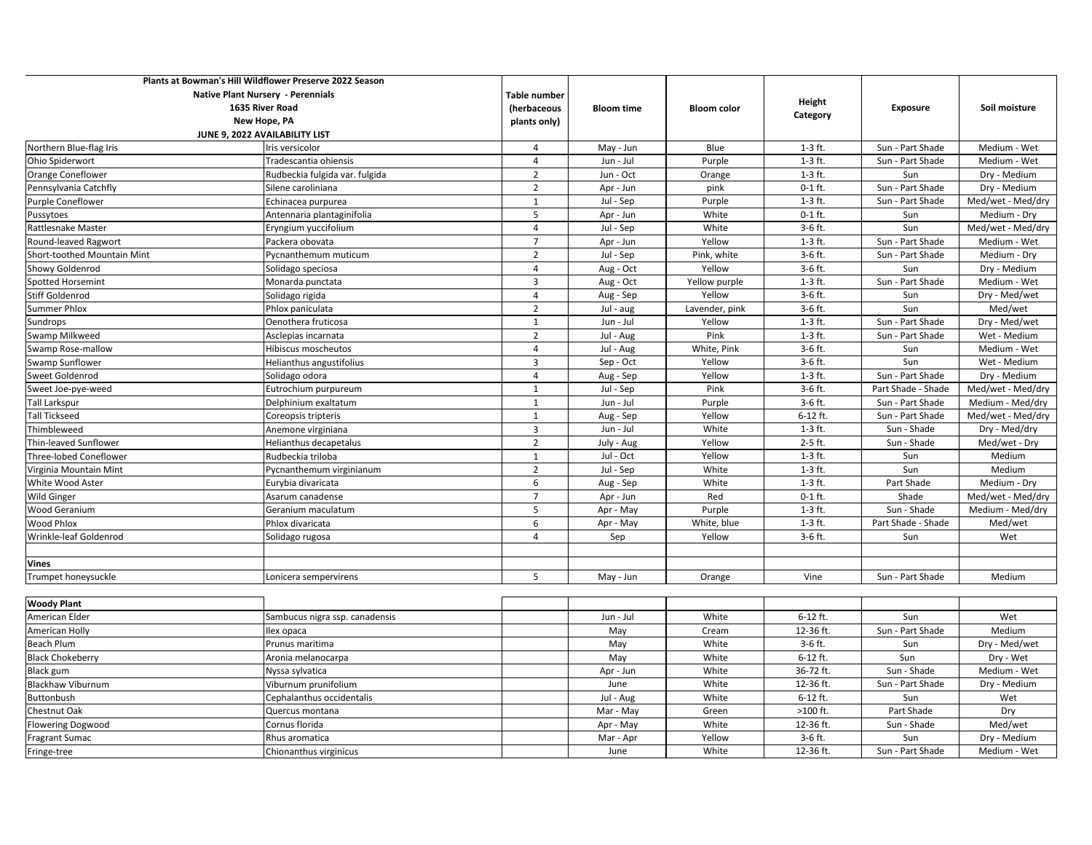| <b>Native Plant Nursery - Perennials</b><br><b>Table number</b><br>Height<br>1635 River Road<br>(herbaceous<br>Exposure<br>Soil moisture<br><b>Bloom time</b><br><b>Bloom color</b><br>Category<br>New Hope, PA<br>plants only)<br>JUNE 9, 2022 AVAILABILITY LIST<br>Northern Blue-flag Iris<br>Blue<br>$1-3$ ft.<br>Sun - Part Shade<br>Medium - Wet<br>Iris versicolor<br>$\overline{4}$<br>May - Jun<br>$\overline{4}$<br>Purple<br>$1-3$ ft.<br>Sun - Part Shade<br>Ohio Spiderwort<br>Tradescantia ohiensis<br>Jun - Jul<br>Medium - Wet<br>Orange Coneflower<br>$\overline{2}$<br>Jun - Oct<br>Orange<br>$1-3$ ft.<br>Sun<br>Rudbeckia fulgida var. fulgida<br>Dry - Medium<br>$\overline{2}$<br>$0-1$ ft.<br>Pennsylvania Catchfly<br>Silene caroliniana<br>Apr - Jun<br>pink<br>Sun - Part Shade<br>Dry - Medium<br>$\mathbf{1}$<br>$1-3$ ft.<br>Sun - Part Shade<br>Med/wet - Med/dry<br>Purple Coneflower<br>Echinacea purpurea<br>Jul - Sep<br>Purple<br>5<br>White<br>$0-1$ ft.<br>Apr - Jun<br>Sun<br>Medium - Dry<br>Pussytoes<br>Antennaria plantaginifolia<br>White<br>3-6 ft.<br>$\overline{4}$<br>Jul - Sep<br>Sun<br>Med/wet - Med/dry<br>Rattlesnake Master<br>Eryngium yuccifolium<br>$1-3$ ft.<br>$\overline{7}$<br>Apr - Jun<br>Yellow<br>Sun - Part Shade<br>Medium - Wet<br>Round-leaved Ragwort<br>Packera obovata<br>$\overline{2}$<br>Pink, white<br>$3-6$ ft.<br>Sun - Part Shade<br>Jul - Sep<br>Medium - Dry<br><b>Short-toothed Mountain Mint</b><br>Pycnanthemum muticum<br>Yellow<br>3-6 ft.<br>Showy Goldenrod<br>$\overline{4}$<br>Aug - Oct<br>Sun<br>Dry - Medium<br>Solidago speciosa<br>$\overline{3}$<br>$1-3$ ft.<br><b>Spotted Horsemint</b><br>Monarda punctata<br>Aug - Oct<br>Yellow purple<br>Sun - Part Shade<br>Medium - Wet<br>Stiff Goldenrod<br>Yellow<br>3-6 ft.<br>Solidago rigida<br>$\overline{4}$<br>Aug - Sep<br>Sun<br>Dry - Med/wet<br>$\overline{2}$<br>3-6 ft.<br>Summer Phlox<br>Phlox paniculata<br>Jul - aug<br>Lavender, pink<br>Sun<br>Med/wet<br>Sun - Part Shade<br>Sundrops<br>Oenothera fruticosa<br>1<br>Jun - Jul<br>Yellow<br>$1-3$ ft.<br>Dry - Med/wet<br>$\overline{2}$<br>Pink<br>Swamp Milkweed<br>$1-3$ ft.<br>Sun - Part Shade<br>Asclepias incarnata<br>Jul - Aug<br>Wet - Medium<br>White, Pink<br>3-6 ft.<br>Swamp Rose-mallow<br>$\overline{4}$<br>Jul - Aug<br>Sun<br>Medium - Wet<br>Hibiscus moscheutos<br>$\overline{3}$<br>Swamp Sunflower<br>Yellow<br>3-6 ft.<br>Sun<br>Helianthus angustifolius<br>Sep - Oct<br>Wet - Medium<br>Sweet Goldenrod<br>$\overline{4}$<br>Yellow<br>$1-3$ ft.<br>Sun - Part Shade<br>Solidago odora<br>Aug - Sep<br>Dry - Medium<br>$\mathbf{1}$<br>Pink<br>3-6 ft.<br>Part Shade - Shade<br>Sweet Joe-pye-weed<br>Eutrochium purpureum<br>Jul - Sep<br>Med/wet - Med/dry<br>$3-6$ ft.<br>$\mathbf{1}$<br>Jun - Jul<br>Purple<br>Sun - Part Shade<br>Medium - Med/dry<br>Tall Larkspur<br>Delphinium exaltatum<br>Yellow<br>6-12 ft.<br><b>Tall Tickseed</b><br>$\mathbf{1}$<br>Aug - Sep<br>Sun - Part Shade<br>Med/wet - Med/dry<br>Coreopsis tripteris | Plants at Bowman's Hill Wildflower Preserve 2022 Season |  |  |  |  |
|-----------------------------------------------------------------------------------------------------------------------------------------------------------------------------------------------------------------------------------------------------------------------------------------------------------------------------------------------------------------------------------------------------------------------------------------------------------------------------------------------------------------------------------------------------------------------------------------------------------------------------------------------------------------------------------------------------------------------------------------------------------------------------------------------------------------------------------------------------------------------------------------------------------------------------------------------------------------------------------------------------------------------------------------------------------------------------------------------------------------------------------------------------------------------------------------------------------------------------------------------------------------------------------------------------------------------------------------------------------------------------------------------------------------------------------------------------------------------------------------------------------------------------------------------------------------------------------------------------------------------------------------------------------------------------------------------------------------------------------------------------------------------------------------------------------------------------------------------------------------------------------------------------------------------------------------------------------------------------------------------------------------------------------------------------------------------------------------------------------------------------------------------------------------------------------------------------------------------------------------------------------------------------------------------------------------------------------------------------------------------------------------------------------------------------------------------------------------------------------------------------------------------------------------------------------------------------------------------------------------------------------------------------------------------------------------------------------------------------------------------------------------------------------------------------------------------------------------------------------------------------------------------------------------------------------------------------------------------------------------------------------------------------------------------------------------------------------|---------------------------------------------------------|--|--|--|--|
|                                                                                                                                                                                                                                                                                                                                                                                                                                                                                                                                                                                                                                                                                                                                                                                                                                                                                                                                                                                                                                                                                                                                                                                                                                                                                                                                                                                                                                                                                                                                                                                                                                                                                                                                                                                                                                                                                                                                                                                                                                                                                                                                                                                                                                                                                                                                                                                                                                                                                                                                                                                                                                                                                                                                                                                                                                                                                                                                                                                                                                                                                   |                                                         |  |  |  |  |
|                                                                                                                                                                                                                                                                                                                                                                                                                                                                                                                                                                                                                                                                                                                                                                                                                                                                                                                                                                                                                                                                                                                                                                                                                                                                                                                                                                                                                                                                                                                                                                                                                                                                                                                                                                                                                                                                                                                                                                                                                                                                                                                                                                                                                                                                                                                                                                                                                                                                                                                                                                                                                                                                                                                                                                                                                                                                                                                                                                                                                                                                                   |                                                         |  |  |  |  |
|                                                                                                                                                                                                                                                                                                                                                                                                                                                                                                                                                                                                                                                                                                                                                                                                                                                                                                                                                                                                                                                                                                                                                                                                                                                                                                                                                                                                                                                                                                                                                                                                                                                                                                                                                                                                                                                                                                                                                                                                                                                                                                                                                                                                                                                                                                                                                                                                                                                                                                                                                                                                                                                                                                                                                                                                                                                                                                                                                                                                                                                                                   |                                                         |  |  |  |  |
|                                                                                                                                                                                                                                                                                                                                                                                                                                                                                                                                                                                                                                                                                                                                                                                                                                                                                                                                                                                                                                                                                                                                                                                                                                                                                                                                                                                                                                                                                                                                                                                                                                                                                                                                                                                                                                                                                                                                                                                                                                                                                                                                                                                                                                                                                                                                                                                                                                                                                                                                                                                                                                                                                                                                                                                                                                                                                                                                                                                                                                                                                   |                                                         |  |  |  |  |
|                                                                                                                                                                                                                                                                                                                                                                                                                                                                                                                                                                                                                                                                                                                                                                                                                                                                                                                                                                                                                                                                                                                                                                                                                                                                                                                                                                                                                                                                                                                                                                                                                                                                                                                                                                                                                                                                                                                                                                                                                                                                                                                                                                                                                                                                                                                                                                                                                                                                                                                                                                                                                                                                                                                                                                                                                                                                                                                                                                                                                                                                                   |                                                         |  |  |  |  |
|                                                                                                                                                                                                                                                                                                                                                                                                                                                                                                                                                                                                                                                                                                                                                                                                                                                                                                                                                                                                                                                                                                                                                                                                                                                                                                                                                                                                                                                                                                                                                                                                                                                                                                                                                                                                                                                                                                                                                                                                                                                                                                                                                                                                                                                                                                                                                                                                                                                                                                                                                                                                                                                                                                                                                                                                                                                                                                                                                                                                                                                                                   |                                                         |  |  |  |  |
|                                                                                                                                                                                                                                                                                                                                                                                                                                                                                                                                                                                                                                                                                                                                                                                                                                                                                                                                                                                                                                                                                                                                                                                                                                                                                                                                                                                                                                                                                                                                                                                                                                                                                                                                                                                                                                                                                                                                                                                                                                                                                                                                                                                                                                                                                                                                                                                                                                                                                                                                                                                                                                                                                                                                                                                                                                                                                                                                                                                                                                                                                   |                                                         |  |  |  |  |
|                                                                                                                                                                                                                                                                                                                                                                                                                                                                                                                                                                                                                                                                                                                                                                                                                                                                                                                                                                                                                                                                                                                                                                                                                                                                                                                                                                                                                                                                                                                                                                                                                                                                                                                                                                                                                                                                                                                                                                                                                                                                                                                                                                                                                                                                                                                                                                                                                                                                                                                                                                                                                                                                                                                                                                                                                                                                                                                                                                                                                                                                                   |                                                         |  |  |  |  |
|                                                                                                                                                                                                                                                                                                                                                                                                                                                                                                                                                                                                                                                                                                                                                                                                                                                                                                                                                                                                                                                                                                                                                                                                                                                                                                                                                                                                                                                                                                                                                                                                                                                                                                                                                                                                                                                                                                                                                                                                                                                                                                                                                                                                                                                                                                                                                                                                                                                                                                                                                                                                                                                                                                                                                                                                                                                                                                                                                                                                                                                                                   |                                                         |  |  |  |  |
|                                                                                                                                                                                                                                                                                                                                                                                                                                                                                                                                                                                                                                                                                                                                                                                                                                                                                                                                                                                                                                                                                                                                                                                                                                                                                                                                                                                                                                                                                                                                                                                                                                                                                                                                                                                                                                                                                                                                                                                                                                                                                                                                                                                                                                                                                                                                                                                                                                                                                                                                                                                                                                                                                                                                                                                                                                                                                                                                                                                                                                                                                   |                                                         |  |  |  |  |
|                                                                                                                                                                                                                                                                                                                                                                                                                                                                                                                                                                                                                                                                                                                                                                                                                                                                                                                                                                                                                                                                                                                                                                                                                                                                                                                                                                                                                                                                                                                                                                                                                                                                                                                                                                                                                                                                                                                                                                                                                                                                                                                                                                                                                                                                                                                                                                                                                                                                                                                                                                                                                                                                                                                                                                                                                                                                                                                                                                                                                                                                                   |                                                         |  |  |  |  |
|                                                                                                                                                                                                                                                                                                                                                                                                                                                                                                                                                                                                                                                                                                                                                                                                                                                                                                                                                                                                                                                                                                                                                                                                                                                                                                                                                                                                                                                                                                                                                                                                                                                                                                                                                                                                                                                                                                                                                                                                                                                                                                                                                                                                                                                                                                                                                                                                                                                                                                                                                                                                                                                                                                                                                                                                                                                                                                                                                                                                                                                                                   |                                                         |  |  |  |  |
|                                                                                                                                                                                                                                                                                                                                                                                                                                                                                                                                                                                                                                                                                                                                                                                                                                                                                                                                                                                                                                                                                                                                                                                                                                                                                                                                                                                                                                                                                                                                                                                                                                                                                                                                                                                                                                                                                                                                                                                                                                                                                                                                                                                                                                                                                                                                                                                                                                                                                                                                                                                                                                                                                                                                                                                                                                                                                                                                                                                                                                                                                   |                                                         |  |  |  |  |
|                                                                                                                                                                                                                                                                                                                                                                                                                                                                                                                                                                                                                                                                                                                                                                                                                                                                                                                                                                                                                                                                                                                                                                                                                                                                                                                                                                                                                                                                                                                                                                                                                                                                                                                                                                                                                                                                                                                                                                                                                                                                                                                                                                                                                                                                                                                                                                                                                                                                                                                                                                                                                                                                                                                                                                                                                                                                                                                                                                                                                                                                                   |                                                         |  |  |  |  |
|                                                                                                                                                                                                                                                                                                                                                                                                                                                                                                                                                                                                                                                                                                                                                                                                                                                                                                                                                                                                                                                                                                                                                                                                                                                                                                                                                                                                                                                                                                                                                                                                                                                                                                                                                                                                                                                                                                                                                                                                                                                                                                                                                                                                                                                                                                                                                                                                                                                                                                                                                                                                                                                                                                                                                                                                                                                                                                                                                                                                                                                                                   |                                                         |  |  |  |  |
|                                                                                                                                                                                                                                                                                                                                                                                                                                                                                                                                                                                                                                                                                                                                                                                                                                                                                                                                                                                                                                                                                                                                                                                                                                                                                                                                                                                                                                                                                                                                                                                                                                                                                                                                                                                                                                                                                                                                                                                                                                                                                                                                                                                                                                                                                                                                                                                                                                                                                                                                                                                                                                                                                                                                                                                                                                                                                                                                                                                                                                                                                   |                                                         |  |  |  |  |
|                                                                                                                                                                                                                                                                                                                                                                                                                                                                                                                                                                                                                                                                                                                                                                                                                                                                                                                                                                                                                                                                                                                                                                                                                                                                                                                                                                                                                                                                                                                                                                                                                                                                                                                                                                                                                                                                                                                                                                                                                                                                                                                                                                                                                                                                                                                                                                                                                                                                                                                                                                                                                                                                                                                                                                                                                                                                                                                                                                                                                                                                                   |                                                         |  |  |  |  |
|                                                                                                                                                                                                                                                                                                                                                                                                                                                                                                                                                                                                                                                                                                                                                                                                                                                                                                                                                                                                                                                                                                                                                                                                                                                                                                                                                                                                                                                                                                                                                                                                                                                                                                                                                                                                                                                                                                                                                                                                                                                                                                                                                                                                                                                                                                                                                                                                                                                                                                                                                                                                                                                                                                                                                                                                                                                                                                                                                                                                                                                                                   |                                                         |  |  |  |  |
|                                                                                                                                                                                                                                                                                                                                                                                                                                                                                                                                                                                                                                                                                                                                                                                                                                                                                                                                                                                                                                                                                                                                                                                                                                                                                                                                                                                                                                                                                                                                                                                                                                                                                                                                                                                                                                                                                                                                                                                                                                                                                                                                                                                                                                                                                                                                                                                                                                                                                                                                                                                                                                                                                                                                                                                                                                                                                                                                                                                                                                                                                   |                                                         |  |  |  |  |
|                                                                                                                                                                                                                                                                                                                                                                                                                                                                                                                                                                                                                                                                                                                                                                                                                                                                                                                                                                                                                                                                                                                                                                                                                                                                                                                                                                                                                                                                                                                                                                                                                                                                                                                                                                                                                                                                                                                                                                                                                                                                                                                                                                                                                                                                                                                                                                                                                                                                                                                                                                                                                                                                                                                                                                                                                                                                                                                                                                                                                                                                                   |                                                         |  |  |  |  |
|                                                                                                                                                                                                                                                                                                                                                                                                                                                                                                                                                                                                                                                                                                                                                                                                                                                                                                                                                                                                                                                                                                                                                                                                                                                                                                                                                                                                                                                                                                                                                                                                                                                                                                                                                                                                                                                                                                                                                                                                                                                                                                                                                                                                                                                                                                                                                                                                                                                                                                                                                                                                                                                                                                                                                                                                                                                                                                                                                                                                                                                                                   |                                                         |  |  |  |  |
|                                                                                                                                                                                                                                                                                                                                                                                                                                                                                                                                                                                                                                                                                                                                                                                                                                                                                                                                                                                                                                                                                                                                                                                                                                                                                                                                                                                                                                                                                                                                                                                                                                                                                                                                                                                                                                                                                                                                                                                                                                                                                                                                                                                                                                                                                                                                                                                                                                                                                                                                                                                                                                                                                                                                                                                                                                                                                                                                                                                                                                                                                   |                                                         |  |  |  |  |
|                                                                                                                                                                                                                                                                                                                                                                                                                                                                                                                                                                                                                                                                                                                                                                                                                                                                                                                                                                                                                                                                                                                                                                                                                                                                                                                                                                                                                                                                                                                                                                                                                                                                                                                                                                                                                                                                                                                                                                                                                                                                                                                                                                                                                                                                                                                                                                                                                                                                                                                                                                                                                                                                                                                                                                                                                                                                                                                                                                                                                                                                                   |                                                         |  |  |  |  |
|                                                                                                                                                                                                                                                                                                                                                                                                                                                                                                                                                                                                                                                                                                                                                                                                                                                                                                                                                                                                                                                                                                                                                                                                                                                                                                                                                                                                                                                                                                                                                                                                                                                                                                                                                                                                                                                                                                                                                                                                                                                                                                                                                                                                                                                                                                                                                                                                                                                                                                                                                                                                                                                                                                                                                                                                                                                                                                                                                                                                                                                                                   |                                                         |  |  |  |  |
|                                                                                                                                                                                                                                                                                                                                                                                                                                                                                                                                                                                                                                                                                                                                                                                                                                                                                                                                                                                                                                                                                                                                                                                                                                                                                                                                                                                                                                                                                                                                                                                                                                                                                                                                                                                                                                                                                                                                                                                                                                                                                                                                                                                                                                                                                                                                                                                                                                                                                                                                                                                                                                                                                                                                                                                                                                                                                                                                                                                                                                                                                   |                                                         |  |  |  |  |
| White<br>$1-3$ ft.<br>Sun - Shade<br>Thimbleweed<br>$\overline{3}$<br>Jun - Jul<br>Dry - Med/dry<br>Anemone virginiana                                                                                                                                                                                                                                                                                                                                                                                                                                                                                                                                                                                                                                                                                                                                                                                                                                                                                                                                                                                                                                                                                                                                                                                                                                                                                                                                                                                                                                                                                                                                                                                                                                                                                                                                                                                                                                                                                                                                                                                                                                                                                                                                                                                                                                                                                                                                                                                                                                                                                                                                                                                                                                                                                                                                                                                                                                                                                                                                                            |                                                         |  |  |  |  |
| 2-5 ft.<br>$\overline{2}$<br>Yellow<br>Sun - Shade<br>Thin-leaved Sunflower<br>Helianthus decapetalus<br>July - Aug<br>Med/wet - Dry                                                                                                                                                                                                                                                                                                                                                                                                                                                                                                                                                                                                                                                                                                                                                                                                                                                                                                                                                                                                                                                                                                                                                                                                                                                                                                                                                                                                                                                                                                                                                                                                                                                                                                                                                                                                                                                                                                                                                                                                                                                                                                                                                                                                                                                                                                                                                                                                                                                                                                                                                                                                                                                                                                                                                                                                                                                                                                                                              |                                                         |  |  |  |  |
| Jul - Oct<br>Yellow<br>$1-3$ ft.<br>$\mathbf{1}$<br>Sun<br>Medium<br><b>Three-lobed Coneflower</b><br>Rudbeckia triloba                                                                                                                                                                                                                                                                                                                                                                                                                                                                                                                                                                                                                                                                                                                                                                                                                                                                                                                                                                                                                                                                                                                                                                                                                                                                                                                                                                                                                                                                                                                                                                                                                                                                                                                                                                                                                                                                                                                                                                                                                                                                                                                                                                                                                                                                                                                                                                                                                                                                                                                                                                                                                                                                                                                                                                                                                                                                                                                                                           |                                                         |  |  |  |  |
| $\overline{2}$<br>$1-3$ ft.<br>Virginia Mountain Mint<br>Jul - Sep<br>White<br>Sun<br>Medium<br>Pycnanthemum virginianum                                                                                                                                                                                                                                                                                                                                                                                                                                                                                                                                                                                                                                                                                                                                                                                                                                                                                                                                                                                                                                                                                                                                                                                                                                                                                                                                                                                                                                                                                                                                                                                                                                                                                                                                                                                                                                                                                                                                                                                                                                                                                                                                                                                                                                                                                                                                                                                                                                                                                                                                                                                                                                                                                                                                                                                                                                                                                                                                                          |                                                         |  |  |  |  |
| 6<br>White<br>$1-3$ ft.<br>Part Shade<br>Medium - Dry<br>White Wood Aster<br>Aug - Sep<br>Eurybia divaricata                                                                                                                                                                                                                                                                                                                                                                                                                                                                                                                                                                                                                                                                                                                                                                                                                                                                                                                                                                                                                                                                                                                                                                                                                                                                                                                                                                                                                                                                                                                                                                                                                                                                                                                                                                                                                                                                                                                                                                                                                                                                                                                                                                                                                                                                                                                                                                                                                                                                                                                                                                                                                                                                                                                                                                                                                                                                                                                                                                      |                                                         |  |  |  |  |
| Wild Ginger<br>$\overline{7}$<br>$0-1$ ft.<br>Shade<br>Med/wet - Med/dry<br>Asarum canadense<br>Apr - Jun<br>Red                                                                                                                                                                                                                                                                                                                                                                                                                                                                                                                                                                                                                                                                                                                                                                                                                                                                                                                                                                                                                                                                                                                                                                                                                                                                                                                                                                                                                                                                                                                                                                                                                                                                                                                                                                                                                                                                                                                                                                                                                                                                                                                                                                                                                                                                                                                                                                                                                                                                                                                                                                                                                                                                                                                                                                                                                                                                                                                                                                  |                                                         |  |  |  |  |
| 5<br>$1-3$ ft.<br>Wood Geranium<br>Geranium maculatum<br>Apr - May<br>Purple<br>Sun - Shade<br>Medium - Med/dry                                                                                                                                                                                                                                                                                                                                                                                                                                                                                                                                                                                                                                                                                                                                                                                                                                                                                                                                                                                                                                                                                                                                                                                                                                                                                                                                                                                                                                                                                                                                                                                                                                                                                                                                                                                                                                                                                                                                                                                                                                                                                                                                                                                                                                                                                                                                                                                                                                                                                                                                                                                                                                                                                                                                                                                                                                                                                                                                                                   |                                                         |  |  |  |  |
| Wood Phlox<br>6<br>White, blue<br>$1-3$ ft.<br>Part Shade - Shade<br>Med/wet<br>Phlox divaricata<br>Apr - May                                                                                                                                                                                                                                                                                                                                                                                                                                                                                                                                                                                                                                                                                                                                                                                                                                                                                                                                                                                                                                                                                                                                                                                                                                                                                                                                                                                                                                                                                                                                                                                                                                                                                                                                                                                                                                                                                                                                                                                                                                                                                                                                                                                                                                                                                                                                                                                                                                                                                                                                                                                                                                                                                                                                                                                                                                                                                                                                                                     |                                                         |  |  |  |  |
| $\overline{4}$<br>Wrinkle-leaf Goldenrod<br>Yellow<br>3-6 ft.<br>Sun<br>Wet<br>Solidago rugosa<br>Sep                                                                                                                                                                                                                                                                                                                                                                                                                                                                                                                                                                                                                                                                                                                                                                                                                                                                                                                                                                                                                                                                                                                                                                                                                                                                                                                                                                                                                                                                                                                                                                                                                                                                                                                                                                                                                                                                                                                                                                                                                                                                                                                                                                                                                                                                                                                                                                                                                                                                                                                                                                                                                                                                                                                                                                                                                                                                                                                                                                             |                                                         |  |  |  |  |
|                                                                                                                                                                                                                                                                                                                                                                                                                                                                                                                                                                                                                                                                                                                                                                                                                                                                                                                                                                                                                                                                                                                                                                                                                                                                                                                                                                                                                                                                                                                                                                                                                                                                                                                                                                                                                                                                                                                                                                                                                                                                                                                                                                                                                                                                                                                                                                                                                                                                                                                                                                                                                                                                                                                                                                                                                                                                                                                                                                                                                                                                                   |                                                         |  |  |  |  |
| Vines                                                                                                                                                                                                                                                                                                                                                                                                                                                                                                                                                                                                                                                                                                                                                                                                                                                                                                                                                                                                                                                                                                                                                                                                                                                                                                                                                                                                                                                                                                                                                                                                                                                                                                                                                                                                                                                                                                                                                                                                                                                                                                                                                                                                                                                                                                                                                                                                                                                                                                                                                                                                                                                                                                                                                                                                                                                                                                                                                                                                                                                                             |                                                         |  |  |  |  |
| 5<br>Vine<br>Medium<br>Trumpet honeysuckle<br>May - Jun<br>Orange<br>Sun - Part Shade<br>Lonicera sempervirens                                                                                                                                                                                                                                                                                                                                                                                                                                                                                                                                                                                                                                                                                                                                                                                                                                                                                                                                                                                                                                                                                                                                                                                                                                                                                                                                                                                                                                                                                                                                                                                                                                                                                                                                                                                                                                                                                                                                                                                                                                                                                                                                                                                                                                                                                                                                                                                                                                                                                                                                                                                                                                                                                                                                                                                                                                                                                                                                                                    |                                                         |  |  |  |  |
|                                                                                                                                                                                                                                                                                                                                                                                                                                                                                                                                                                                                                                                                                                                                                                                                                                                                                                                                                                                                                                                                                                                                                                                                                                                                                                                                                                                                                                                                                                                                                                                                                                                                                                                                                                                                                                                                                                                                                                                                                                                                                                                                                                                                                                                                                                                                                                                                                                                                                                                                                                                                                                                                                                                                                                                                                                                                                                                                                                                                                                                                                   |                                                         |  |  |  |  |
| <b>Woody Plant</b>                                                                                                                                                                                                                                                                                                                                                                                                                                                                                                                                                                                                                                                                                                                                                                                                                                                                                                                                                                                                                                                                                                                                                                                                                                                                                                                                                                                                                                                                                                                                                                                                                                                                                                                                                                                                                                                                                                                                                                                                                                                                                                                                                                                                                                                                                                                                                                                                                                                                                                                                                                                                                                                                                                                                                                                                                                                                                                                                                                                                                                                                |                                                         |  |  |  |  |
| $6-12$ ft.<br>Wet<br>American Elder<br>Jun - Jul<br>White<br>Sun<br>Sambucus nigra ssp. canadensis                                                                                                                                                                                                                                                                                                                                                                                                                                                                                                                                                                                                                                                                                                                                                                                                                                                                                                                                                                                                                                                                                                                                                                                                                                                                                                                                                                                                                                                                                                                                                                                                                                                                                                                                                                                                                                                                                                                                                                                                                                                                                                                                                                                                                                                                                                                                                                                                                                                                                                                                                                                                                                                                                                                                                                                                                                                                                                                                                                                |                                                         |  |  |  |  |
| American Holly<br>Cream<br>12-36 ft.<br>Sun - Part Shade<br>Medium<br>May<br>Ilex opaca                                                                                                                                                                                                                                                                                                                                                                                                                                                                                                                                                                                                                                                                                                                                                                                                                                                                                                                                                                                                                                                                                                                                                                                                                                                                                                                                                                                                                                                                                                                                                                                                                                                                                                                                                                                                                                                                                                                                                                                                                                                                                                                                                                                                                                                                                                                                                                                                                                                                                                                                                                                                                                                                                                                                                                                                                                                                                                                                                                                           |                                                         |  |  |  |  |
| White<br>3-6 ft.<br>Beach Plum<br>Prunus maritima<br>May<br>Sun<br>Dry - Med/wet                                                                                                                                                                                                                                                                                                                                                                                                                                                                                                                                                                                                                                                                                                                                                                                                                                                                                                                                                                                                                                                                                                                                                                                                                                                                                                                                                                                                                                                                                                                                                                                                                                                                                                                                                                                                                                                                                                                                                                                                                                                                                                                                                                                                                                                                                                                                                                                                                                                                                                                                                                                                                                                                                                                                                                                                                                                                                                                                                                                                  |                                                         |  |  |  |  |
| Sun<br>White<br>$6-12$ ft.<br><b>Black Chokeberry</b><br>Aronia melanocarpa<br>May<br>Dry - Wet                                                                                                                                                                                                                                                                                                                                                                                                                                                                                                                                                                                                                                                                                                                                                                                                                                                                                                                                                                                                                                                                                                                                                                                                                                                                                                                                                                                                                                                                                                                                                                                                                                                                                                                                                                                                                                                                                                                                                                                                                                                                                                                                                                                                                                                                                                                                                                                                                                                                                                                                                                                                                                                                                                                                                                                                                                                                                                                                                                                   |                                                         |  |  |  |  |
| <b>Black gum</b><br>White<br>36-72 ft.<br>Sun - Shade<br>Medium - Wet<br>Nyssa sylvatica<br>Apr - Jun                                                                                                                                                                                                                                                                                                                                                                                                                                                                                                                                                                                                                                                                                                                                                                                                                                                                                                                                                                                                                                                                                                                                                                                                                                                                                                                                                                                                                                                                                                                                                                                                                                                                                                                                                                                                                                                                                                                                                                                                                                                                                                                                                                                                                                                                                                                                                                                                                                                                                                                                                                                                                                                                                                                                                                                                                                                                                                                                                                             |                                                         |  |  |  |  |
| White<br>12-36 ft.<br><b>Blackhaw Viburnum</b><br>Viburnum prunifolium<br>June<br>Sun - Part Shade<br>Dry - Medium                                                                                                                                                                                                                                                                                                                                                                                                                                                                                                                                                                                                                                                                                                                                                                                                                                                                                                                                                                                                                                                                                                                                                                                                                                                                                                                                                                                                                                                                                                                                                                                                                                                                                                                                                                                                                                                                                                                                                                                                                                                                                                                                                                                                                                                                                                                                                                                                                                                                                                                                                                                                                                                                                                                                                                                                                                                                                                                                                                |                                                         |  |  |  |  |
| 6-12 ft.<br>Buttonbush<br>White<br>Sun<br>Wet<br>Cephalanthus occidentalis<br>Jul - Aug                                                                                                                                                                                                                                                                                                                                                                                                                                                                                                                                                                                                                                                                                                                                                                                                                                                                                                                                                                                                                                                                                                                                                                                                                                                                                                                                                                                                                                                                                                                                                                                                                                                                                                                                                                                                                                                                                                                                                                                                                                                                                                                                                                                                                                                                                                                                                                                                                                                                                                                                                                                                                                                                                                                                                                                                                                                                                                                                                                                           |                                                         |  |  |  |  |
| Chestnut Oak<br>Green<br>>100 ft.<br>Part Shade<br>Dry<br>Mar - May<br>Quercus montana                                                                                                                                                                                                                                                                                                                                                                                                                                                                                                                                                                                                                                                                                                                                                                                                                                                                                                                                                                                                                                                                                                                                                                                                                                                                                                                                                                                                                                                                                                                                                                                                                                                                                                                                                                                                                                                                                                                                                                                                                                                                                                                                                                                                                                                                                                                                                                                                                                                                                                                                                                                                                                                                                                                                                                                                                                                                                                                                                                                            |                                                         |  |  |  |  |
| <b>Flowering Dogwood</b><br>Cornus florida<br>White<br>12-36 ft.<br>Sun - Shade<br>Med/wet<br>Apr - May                                                                                                                                                                                                                                                                                                                                                                                                                                                                                                                                                                                                                                                                                                                                                                                                                                                                                                                                                                                                                                                                                                                                                                                                                                                                                                                                                                                                                                                                                                                                                                                                                                                                                                                                                                                                                                                                                                                                                                                                                                                                                                                                                                                                                                                                                                                                                                                                                                                                                                                                                                                                                                                                                                                                                                                                                                                                                                                                                                           |                                                         |  |  |  |  |
| Yellow<br>$3-6$ ft.<br>Fragrant Sumac<br>Rhus aromatica<br>Mar - Apr<br>Sun<br>Dry - Medium                                                                                                                                                                                                                                                                                                                                                                                                                                                                                                                                                                                                                                                                                                                                                                                                                                                                                                                                                                                                                                                                                                                                                                                                                                                                                                                                                                                                                                                                                                                                                                                                                                                                                                                                                                                                                                                                                                                                                                                                                                                                                                                                                                                                                                                                                                                                                                                                                                                                                                                                                                                                                                                                                                                                                                                                                                                                                                                                                                                       |                                                         |  |  |  |  |
| White<br>Fringe-tree<br>June<br>12-36 ft.<br>Sun - Part Shade<br>Medium - Wet<br>Chionanthus virginicus                                                                                                                                                                                                                                                                                                                                                                                                                                                                                                                                                                                                                                                                                                                                                                                                                                                                                                                                                                                                                                                                                                                                                                                                                                                                                                                                                                                                                                                                                                                                                                                                                                                                                                                                                                                                                                                                                                                                                                                                                                                                                                                                                                                                                                                                                                                                                                                                                                                                                                                                                                                                                                                                                                                                                                                                                                                                                                                                                                           |                                                         |  |  |  |  |